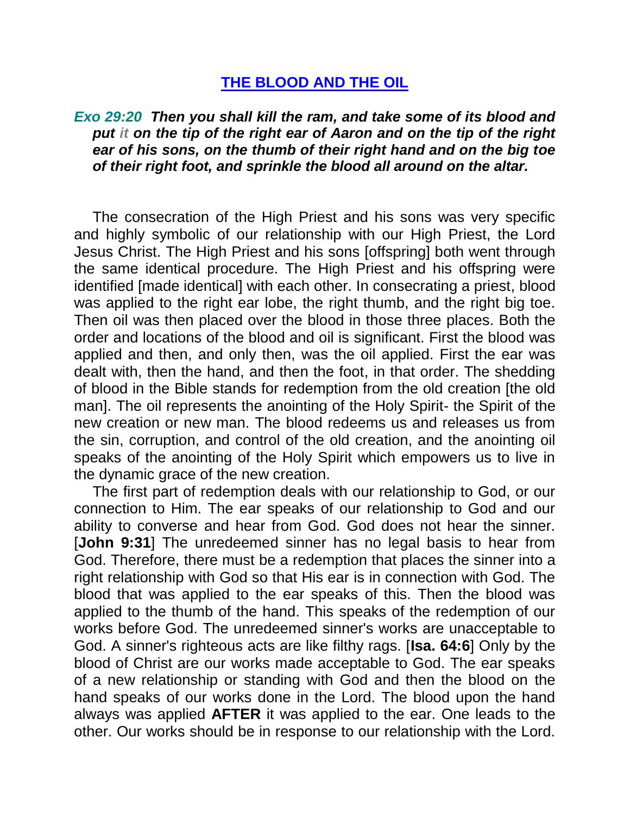## **THE BLOOD AND THE OIL**

## *Exo 29:20 Then you shall kill the ram, and take some of its blood and put it on the tip of the right ear of Aaron and on the tip of the right ear of his sons, on the thumb of their right hand and on the big toe of their right foot, and sprinkle the blood all around on the altar.*

The consecration of the High Priest and his sons was very specific and highly symbolic of our relationship with our High Priest, the Lord Jesus Christ. The High Priest and his sons [offspring] both went through the same identical procedure. The High Priest and his offspring were identified [made identical] with each other. In consecrating a priest, blood was applied to the right ear lobe, the right thumb, and the right big toe. Then oil was then placed over the blood in those three places. Both the order and locations of the blood and oil is significant. First the blood was applied and then, and only then, was the oil applied. First the ear was dealt with, then the hand, and then the foot, in that order. The shedding of blood in the Bible stands for redemption from the old creation [the old man]. The oil represents the anointing of the Holy Spirit- the Spirit of the new creation or new man. The blood redeems us and releases us from the sin, corruption, and control of the old creation, and the anointing oil speaks of the anointing of the Holy Spirit which empowers us to live in the dynamic grace of the new creation.

The first part of redemption deals with our relationship to God, or our connection to Him. The ear speaks of our relationship to God and our ability to converse and hear from God. God does not hear the sinner. [**John 9:31**] The unredeemed sinner has no legal basis to hear from God. Therefore, there must be a redemption that places the sinner into a right relationship with God so that His ear is in connection with God. The blood that was applied to the ear speaks of this. Then the blood was applied to the thumb of the hand. This speaks of the redemption of our works before God. The unredeemed sinner's works are unacceptable to God. A sinner's righteous acts are like filthy rags. [**Isa. 64:6**] Only by the blood of Christ are our works made acceptable to God. The ear speaks of a new relationship or standing with God and then the blood on the hand speaks of our works done in the Lord. The blood upon the hand always was applied **AFTER** it was applied to the ear. One leads to the other. Our works should be in response to our relationship with the Lord.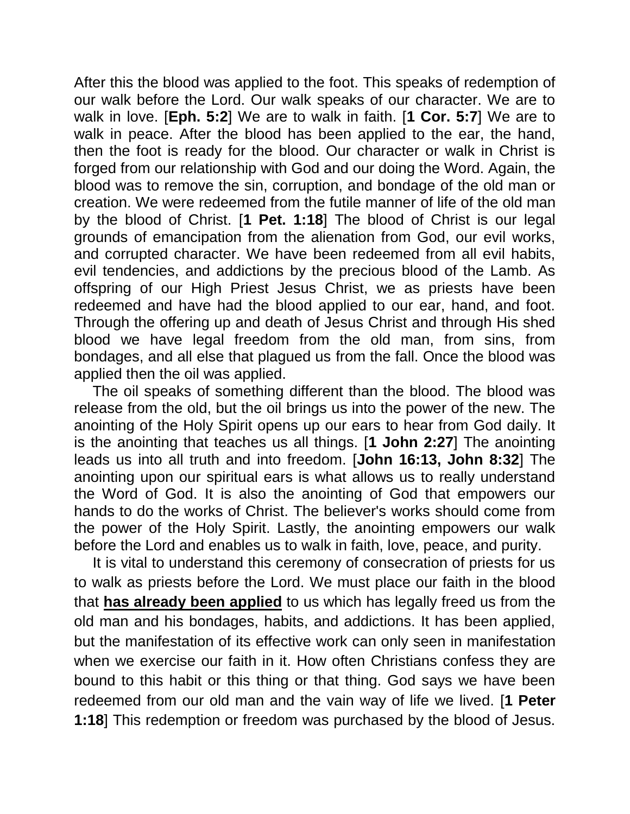After this the blood was applied to the foot. This speaks of redemption of our walk before the Lord. Our walk speaks of our character. We are to walk in love. [**Eph. 5:2**] We are to walk in faith. [**1 Cor. 5:7**] We are to walk in peace. After the blood has been applied to the ear, the hand, then the foot is ready for the blood. Our character or walk in Christ is forged from our relationship with God and our doing the Word. Again, the blood was to remove the sin, corruption, and bondage of the old man or creation. We were redeemed from the futile manner of life of the old man by the blood of Christ. [**1 Pet. 1:18**] The blood of Christ is our legal grounds of emancipation from the alienation from God, our evil works, and corrupted character. We have been redeemed from all evil habits, evil tendencies, and addictions by the precious blood of the Lamb. As offspring of our High Priest Jesus Christ, we as priests have been redeemed and have had the blood applied to our ear, hand, and foot. Through the offering up and death of Jesus Christ and through His shed blood we have legal freedom from the old man, from sins, from bondages, and all else that plagued us from the fall. Once the blood was applied then the oil was applied.

The oil speaks of something different than the blood. The blood was release from the old, but the oil brings us into the power of the new. The anointing of the Holy Spirit opens up our ears to hear from God daily. It is the anointing that teaches us all things. [**1 John 2:27**] The anointing leads us into all truth and into freedom. [**John 16:13, John 8:32**] The anointing upon our spiritual ears is what allows us to really understand the Word of God. It is also the anointing of God that empowers our hands to do the works of Christ. The believer's works should come from the power of the Holy Spirit. Lastly, the anointing empowers our walk before the Lord and enables us to walk in faith, love, peace, and purity.

It is vital to understand this ceremony of consecration of priests for us to walk as priests before the Lord. We must place our faith in the blood that **has already been applied** to us which has legally freed us from the old man and his bondages, habits, and addictions. It has been applied, but the manifestation of its effective work can only seen in manifestation when we exercise our faith in it. How often Christians confess they are bound to this habit or this thing or that thing. God says we have been redeemed from our old man and the vain way of life we lived. [**1 Peter 1:18**] This redemption or freedom was purchased by the blood of Jesus.